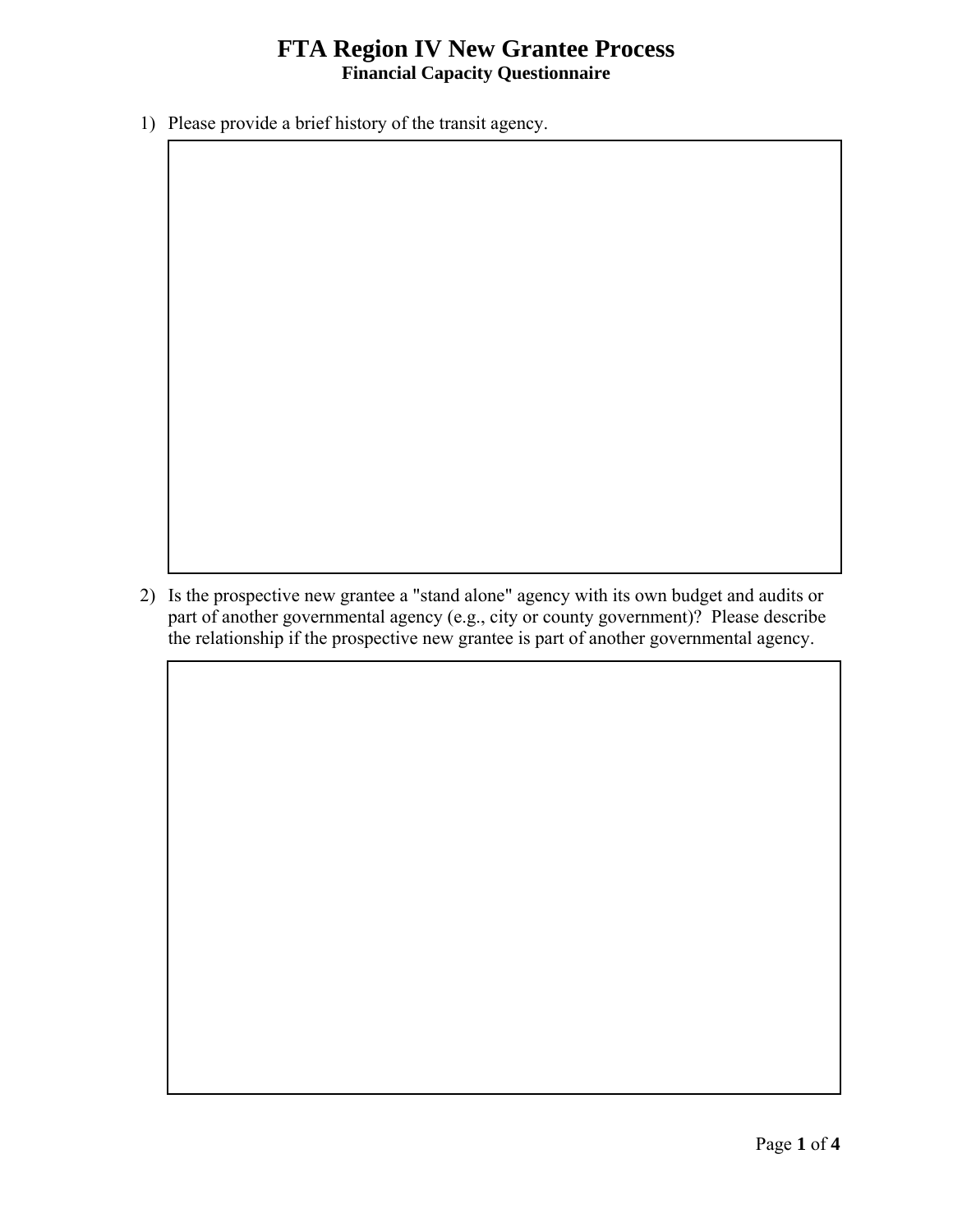## **FTA Region IV New Grantee Process**<br>Financial Capacity Questionnaire

1) Please provide a brief history of the transit agency.

 part of another governmental agency (e.g., city or county government)? Please describe 2) Is the prospective new grantee a "stand alone" agency with its own budget and audits or the relationship if the prospective new grantee is part of another governmental agency.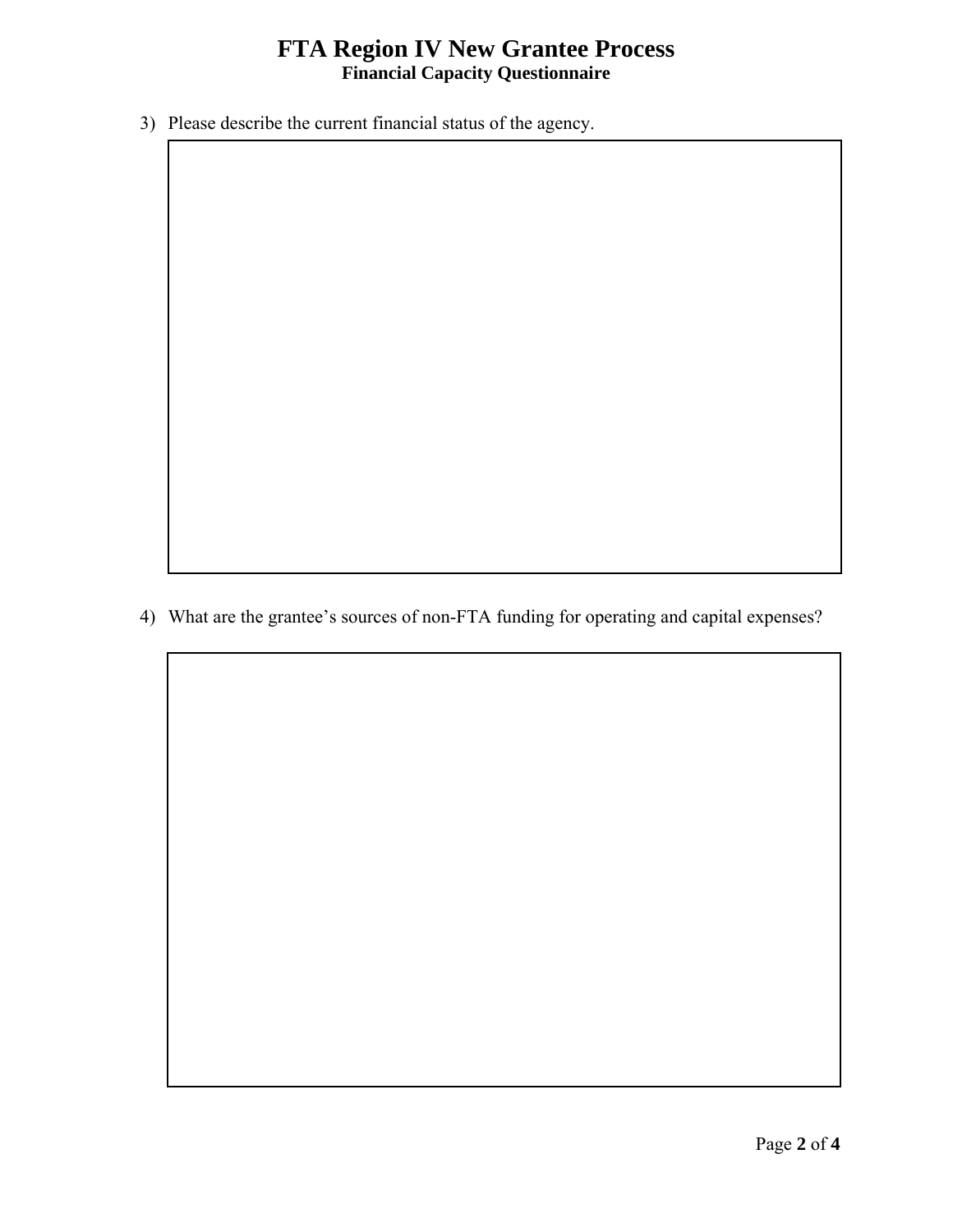## **FTA Region IV New Grantee Process**<br>Financial Capacity Questionnaire

3) Please describe the current financial status of the agency.

4) What are the grantee's sources of non-FTA funding for operating and capital expenses?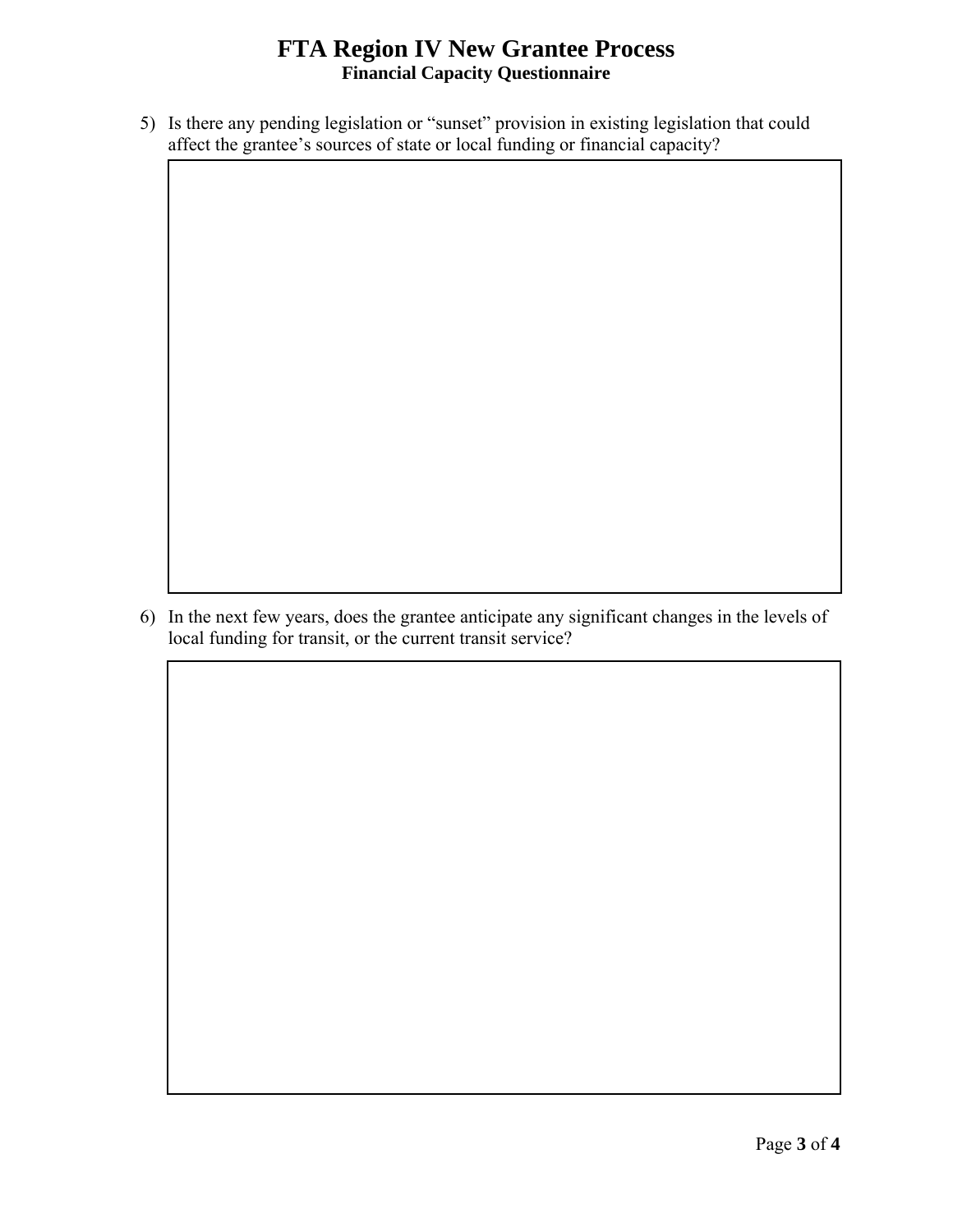## **FTA Region IV New Grantee Process Financial Capacity Questionnaire**

5) Is there any pending legislation or "sunset" provision in existing legislation that could affect the grantee's sources of state or local funding or financial capacity?

6) In the next few years, does the grantee anticipate any significant changes in the levels of local funding for transit, or the current transit service?